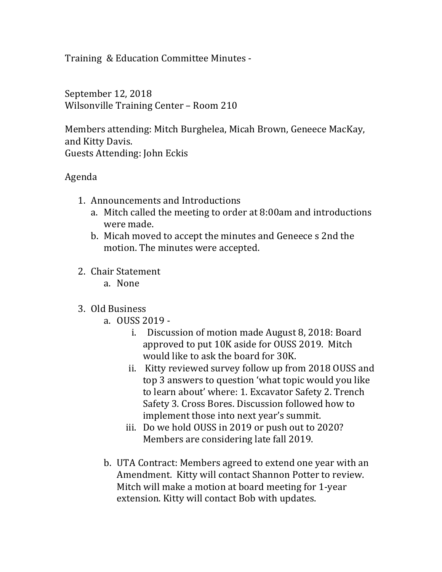Training & Education Committee Minutes -

September 12, 2018 Wilsonville Training Center - Room 210

Members attending: Mitch Burghelea, Micah Brown, Geneece MacKay, and Kitty Davis. Guests Attending: John Eckis

## Agenda

- 1. Announcements and Introductions
	- a. Mitch called the meeting to order at 8:00am and introductions were made.
	- b. Micah moved to accept the minutes and Geneece s 2nd the motion. The minutes were accepted.
- 2. Chair Statement
	- a. None
- 3. Old Business
	- a. OUSS 2019
		- i. Discussion of motion made August 8, 2018: Board approved to put 10K aside for OUSS 2019. Mitch would like to ask the board for 30K.
		- ii. Kitty reviewed survey follow up from 2018 OUSS and top 3 answers to question 'what topic would you like to learn about' where: 1. Excavator Safety 2. Trench Safety 3. Cross Bores. Discussion followed how to implement those into next year's summit.
		- iii. Do we hold OUSS in 2019 or push out to 2020? Members are considering late fall 2019.
	- b. UTA Contract: Members agreed to extend one year with an Amendment. Kitty will contact Shannon Potter to review. Mitch will make a motion at board meeting for 1-year extension. Kitty will contact Bob with updates.